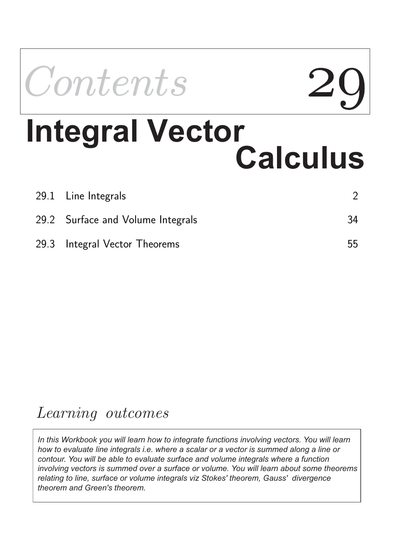

| 29.1 Line Integrals               |    |
|-----------------------------------|----|
| 29.2 Surface and Volume Integrals | 34 |
| 29.3 Integral Vector Theorems     | 55 |

# *Learning outcomes*

*In this Workbook you will learn how to integrate functions involving vectors. You will learn how to evaluate line integrals i.e. where a scalar or a vector is summed along a line or contour. You will be able to evaluate surface and volume integrals where a function involving vectors is summed over a surface or volume. You will learn about some theorems relating to line, surface or volume integrals viz Stokes' theorem, Gauss' divergence theorem and Green's theorem.*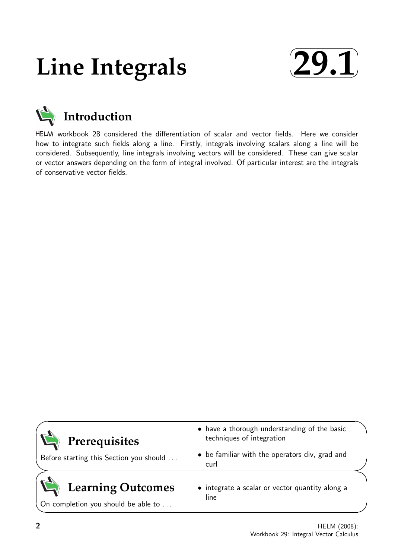# **Line Integrals**





HELM workbook 28 considered the differentiation of scalar and vector fields. Here we consider how to integrate such fields along a line. Firstly, integrals involving scalars along a line will be considered. Subsequently, line integrals involving vectors will be considered. These can give scalar or vector answers depending on the form of integral involved. Of particular interest are the integrals of conservative vector fields.

| Prerequisites                                                   | • have a thorough understanding of the basic<br>techniques of integration |  |
|-----------------------------------------------------------------|---------------------------------------------------------------------------|--|
| Before starting this Section you should                         | • be familiar with the operators div, grad and<br>curl                    |  |
| <b>Learning Outcomes</b><br>On completion you should be able to | • integrate a scalar or vector quantity along a<br>line                   |  |

 $\overline{\phantom{0}}$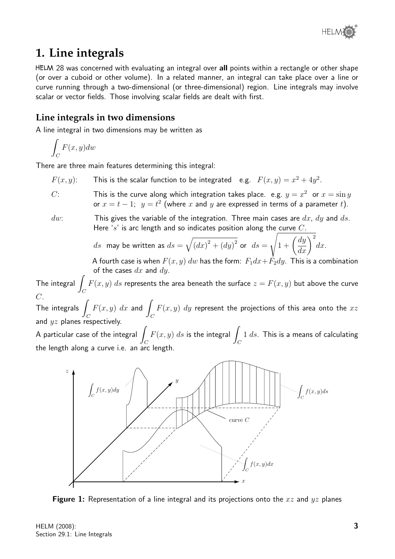

# **1. Line integrals**

HELM 28 was concerned with evaluating an integral over all points within a rectangle or other shape (or over a cuboid or other volume). In a related manner, an integral can take place over a line or curve running through a two-dimensional (or three-dimensional) region. Line integrals may involve scalar or vector fields. Those involving scalar fields are dealt with first.

# **Line integrals in two dimensions**

A line integral in two dimensions may be written as

$$
\int_C F(x, y) dw
$$

There are three main features determining this integral:

- $F(x, y)$ : This is the scalar function to be integrated e.g.  $F(x, y) = x^2 + 4y^2$ .
- $C$ : This is the curve along which integration takes place. e.g.  $y = x^2$  or  $x = \sin y$ or  $x = t - 1$ ;  $y = t^2$  (where  $x$  and  $y$  are expressed in terms of a parameter  $t$ ).

 $dw$ : This gives the variable of the integration. Three main cases are  $dx$ ,  $dy$  and  $ds$ . Here 's' is arc length and so indicates position along the curve  $C$ .

$$
ds
$$
 may be written as  $ds = \sqrt{(dx)^2 + (dy)^2}$  or  $ds = \sqrt{1 + \left(\frac{dy}{dx}\right)^2} dx$ .

A fourth case is when  $F(x, y)$  dw has the form:  $F_1dx + F_2dy$ . This is a combination of the cases  $dx$  and  $dy$ .

The integral  $\int$  $\mathcal{C}_{0}^{(n)}$  $F(x,y) \; ds$  represents the area beneath the surface  $z=F(x,y)$  but above the curve  $\overline{C}$ .

\_\_<br>The integrals <sub>1</sub>  $\mathcal C$  $F(x, y) dx$  and  $\mathcal C$  $F(x, y)$  dy represent the projections of this area onto the  $xz$ and  $yz$  planes respectively.

A particular case of the integral  $\overline{\phantom{a}}$  $\mathcal{C}_{0}^{(n)}$  $F(x, y)$  ds is the integral  $\int$  $\mathcal{C}_{0}^{(n)}$  $1 ds$ . This is a means of calculating the length along a curve i.e. an arc length.



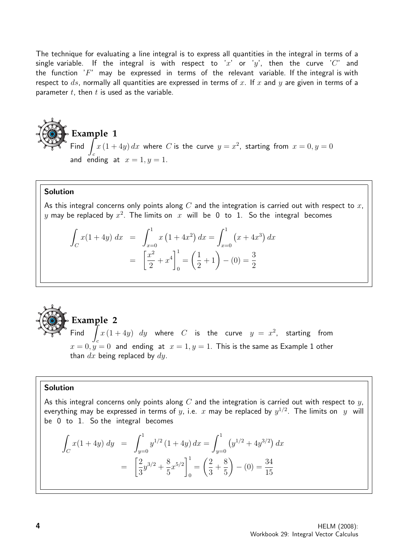The technique for evaluating a line integral is to express all quantities in the integral in terms of a single variable. If the integral is with respect to 'x' or 'y', then the curve 'C' and the function  $'F'$  may be expressed in terms of the relevant variable. If the integral is with respect to  $ds$ , normally all quantities are expressed in terms of x. If x and y are given in terms of a parameter  $t$ , then  $t$  is used as the variable.

## **Example 1**  $Find$ c  $x\left(1+4y\right)dx$  where  $C$  is the curve  $y=x^2$ , starting from  $x=0, y=0$ and ending at  $x = 1, y = 1$ .

#### Solution

As this integral concerns only points along  $C$  and the integration is carried out with respect to  $x$ ,  $y$  may be replaced by  $x^2$ . The limits on  $\,x\,$  will  $\,$  be  $\,0\,$  to  $\,1.$   $\,$  So the  $\,$  integral  $\,$  becomes

$$
\int_C x(1+4y) dx = \int_{x=0}^1 x(1+4x^2) dx = \int_{x=0}^1 (x+4x^3) dx
$$

$$
= \left[\frac{x^2}{2} + x^4\right]_0^1 = \left(\frac{1}{2} + 1\right) - (0) = \frac{3}{2}
$$



c  $x\left(1+4y\right)$   $dy$  where  $C$  is the curve  $y\,=\,x^2$ , starting from  $x = 0, y = 0$  and ending at  $x = 1, y = 1$ . This is the same as Example 1 other than  $dx$  being replaced by  $dy$ .

#### Solution

As this integral concerns only points along  $C$  and the integration is carried out with respect to  $y$ , everything may be expressed in terms of  $y$ , i.e.  $\,x$  may be replaced by  $y^{1/2}.$  The limits on  $\,$   $y$   $\,$  will be 0 to 1. So the integral becomes

$$
\int_C x(1+4y) dy = \int_{y=0}^1 y^{1/2} (1+4y) dx = \int_{y=0}^1 (y^{1/2} + 4y^{3/2}) dx
$$

$$
= \left[ \frac{2}{3} y^{3/2} + \frac{8}{5} x^{5/2} \right]_0^1 = \left( \frac{2}{3} + \frac{8}{5} \right) - (0) = \frac{34}{15}
$$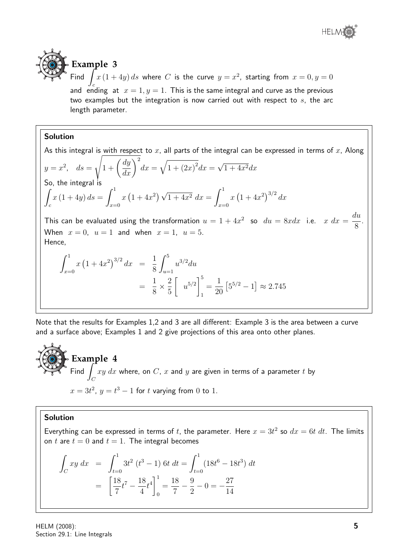

# **Example 3**

Find and ending at  $x = 1, y = 1$ . This is the same integral and curve as the previous  $x\left(1+4y\right)ds$  where  $C$  is the curve  $y=x^2$ , starting from  $x=0, y=0$ two examples but the integration is now carried out with respect to  $s$ , the arc length parameter.

# Solution

As this integral is with respect to x, all parts of the integral can be expressed in terms of x, Along  $y = x^2$ ,  $ds =$  $\sqrt{1+\left(\frac{dy}{dx}\right)^2}$  $dx = \sqrt{1 + (2x)^2} dx =$ √  $1+4x^2dx$ So, the integral is Z c  $x(1+4y) ds = \int_0^1$  $x=0$  $x(1+4x^2)\sqrt{1+4x^2} dx = \int_0^1$  $x=0$  $x(1+4x^2)^{3/2} dx$ This can be evaluated using the transformation  $u = 1 + 4x^2$  so  $du = 8x dx$  i.e.  $x dx =$ du 8 . When  $x = 0$ ,  $u = 1$  and when  $x = 1$ ,  $u = 5$ . Hence,  $\int_0^1$  $x=0$  $x(1+4x^2)^{3/2} dx =$ 1 8  $\int_0^5$  $u=1$  $u^{3/2}du$ = 1 8  $\times \frac{2}{5}$ 5  $\sqrt{ }$  $u^{5/2}\Big]^{5}$ 1 = 1 20  $\left[5^{5/2} - 1\right] \approx 2.745$ 

Note that the results for Examples 1,2 and 3 are all different: Example 3 is the area between a curve and a surface above; Examples 1 and 2 give projections of this area onto other planes.

**Example 4** Find  $\int$  $\mathcal{C}_{0}^{(n)}$  $xy\ dx$  where, on  $C,\ x$  and  $y$  are given in terms of a parameter  $t$  by  $x = 3t^2$ ,  $y = t^3 - 1$  for t varying from 0 to 1.

## Solution

Everything can be expressed in terms of t, the parameter. Here  $x = 3t^2$  so  $dx = 6t \, dt$ . The limits on t are  $t = 0$  and  $t = 1$ . The integral becomes

$$
\int_C xy \, dx = \int_{t=0}^1 3t^2 \left(t^3 - 1\right) 6t \, dt = \int_{t=0}^1 (18t^6 - 18t^3) \, dt
$$
\n
$$
= \left[\frac{18}{7}t^7 - \frac{18}{4}t^4\right]_0^1 = \frac{18}{7} - \frac{9}{2} - 0 = -\frac{27}{14}
$$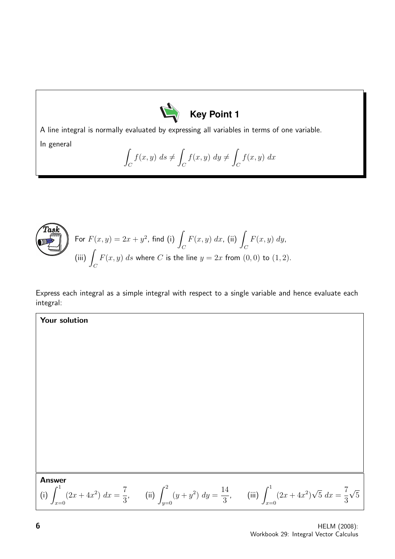

A line integral is normally evaluated by expressing all variables in terms of one variable.

In general

$$
\int_C f(x, y) \, ds \neq \int_C f(x, y) \, dy \neq \int_C f(x, y) \, dx
$$



Your solution

For 
$$
F(x, y) = 2x + y^2
$$
, find (i)  $\int_C F(x, y) dx$ , (ii)  $\int_C F(x, y) dy$ ,  
(iii)  $\int_C F(x, y) ds$  where C is the line  $y = 2x$  from (0,0) to (1,2).

Express each integral as a simple integral with respect to a single variable and hence evaluate each integral:

**Answer** 

(i) 
$$
\int_{x=0}^{1} (2x + 4x^2) dx = \frac{7}{3}
$$
, (ii)  $\int_{y=0}^{2} (y + y^2) dy = \frac{14}{3}$ , (iii)  $\int_{x=0}^{1} (2x + 4x^2) \sqrt{5} dx = \frac{7}{3} \sqrt{5}$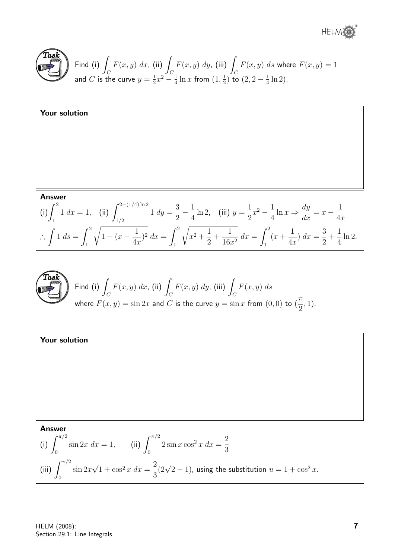® HELME



Find (i) 
$$
\int_C F(x, y) dx
$$
, (ii)  $\int_C F(x, y) dy$ , (iii)  $\int_C F(x, y) ds$  where  $F(x, y) = 1$   
and C is the curve  $y = \frac{1}{2}x^2 - \frac{1}{4} \ln x$  from  $(1, \frac{1}{2})$  to  $(2, 2 - \frac{1}{4} \ln 2)$ .

**Your solution**  
\n**Answer**  
\n(i) 
$$
\int_{1}^{2} 1 \, dx = 1
$$
, (ii)  $\int_{1/2}^{2-(1/4)\ln 2} 1 \, dy = \frac{3}{2} - \frac{1}{4}\ln 2$ , (iii)  $y = \frac{1}{2}x^{2} - \frac{1}{4}\ln x \Rightarrow \frac{dy}{dx} = x - \frac{1}{4x}$   
\n $\therefore \int 1 \, ds = \int_{1}^{2} \sqrt{1 + (x - \frac{1}{4x})^{2}} \, dx = \int_{1}^{2} \sqrt{x^{2} + \frac{1}{2} + \frac{1}{16x^{2}}} \, dx = \int_{1}^{2} (x + \frac{1}{4x}) \, dx = \frac{3}{2} + \frac{1}{4}\ln 2$ .



Find (i) 
$$
\int_C F(x, y) dx
$$
, (ii)  $\int_C F(x, y) dy$ , (iii)  $\int_C F(x, y) ds$   
where  $F(x, y) = \sin 2x$  and C is the curve  $y = \sin x$  from (0,0) to  $(\frac{\pi}{2}, 1)$ .

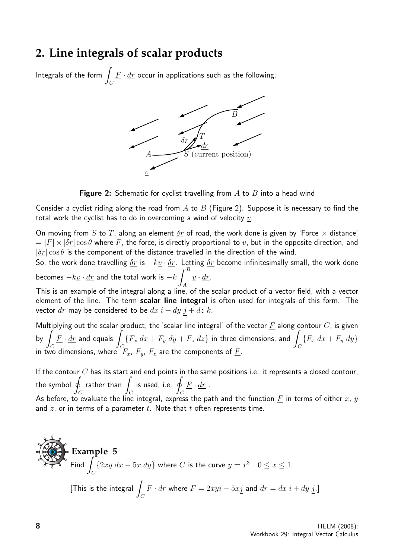# **2. Line integrals of scalar products**

Integrals of the form  $\overline{\phantom{a}}$  $\mathcal{C}_{0}^{(n)}$  $\underline{F}\cdot \underline{dr}$  occur in applications such as the following.



**Figure 2:** Schematic for cyclist travelling from  $A$  to  $B$  into a head wind

Consider a cyclist riding along the road from A to B (Figure 2). Suppose it is necessary to find the total work the cyclist has to do in overcoming a wind of velocity  $v$ .

On moving from S to T, along an element  $\delta r$  of road, the work done is given by 'Force  $\times$  distance'  $= |F| \times |\delta r| \cos \theta$  where F, the force, is directly proportional to v, but in the opposite direction, and  $|\delta r| \cos \theta$  is the component of the distance travelled in the direction of the wind.

So, the work done travelling  $\delta r$  is  $-k\underline{v} \cdot \delta r$ . Letting  $\delta r$  become infinitesimally small, the work done becomes  $-k\underline{v}\cdot \underline{dr}$  and the total work is  $-k\int^B$  $\underline{v} \cdot \underline{dr}$ .

A This is an example of the integral along a line, of the scalar product of a vector field, with a vector element of the line. The term scalar line integral is often used for integrals of this form. The vector  $\underline{dr}$  may be considered to be  $dx \underline{i} + dy \underline{j} + dz \underline{k}$ .

Multiplying out the scalar product, the 'scalar line integral' of the vector  $\underline{F}$  along contour  $C$ , is given by  $\vert$  $\mathcal C$  $\overline{F}\cdot \overline{dr}$  and equals  $\overline{F}$  $\overline{C}$  ${F_x dx + F_y dy + F_z dz}$  in three dimensions, and C  ${F_x dx + F_y dy}$ in two dimensions, where  $\bigl[ F_x, \, F_y, \, F_z \,$  are the components of  $\underline{F}$ .

If the contour  $C$  has its start and end points in the same positions i.e. it represents a closed contour, the symbol  $\phi$  $\mathcal{C}_{0}^{0}$ rather than  $\overline{I}$  $\mathcal C$  $is used, i.e.$  $\mathcal C$  $\underline{F} \cdot \underline{dr}$ . As before, to evaluate the line integral, express the path and the function  $F$  in terms of either  $x, y$ and  $z$ , or in terms of a parameter  $t$ . Note that  $t$  often represents time.

**Example 5**  
Find 
$$
\int_C {2xy \, dx - 5x \, dy}
$$
 where *C* is the curve  $y = x^3$   $0 \le x \le 1$ .  
[This is the integral  $\int_C \underline{F} \cdot \underline{dr}$  where  $\underline{F} = 2xy\underline{i} - 5x\underline{j}$  and  $\underline{dr} = dx \underline{i} + dy \underline{j}$ .]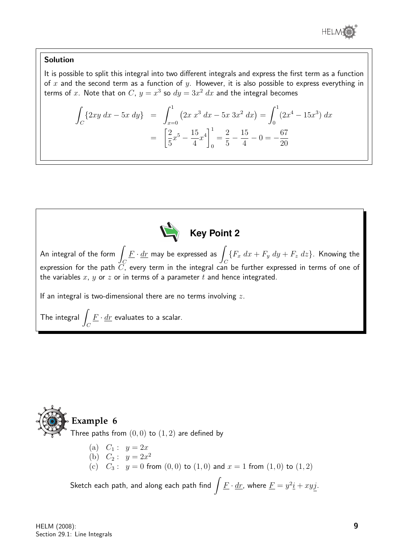

## Solution

It is possible to split this integral into two different integrals and express the first term as a function of x and the second term as a function of y. However, it is also possible to express everything in terms of  $x$ . Note that on  $C$ ,  $y = x^3$  so  $dy = 3x^2 \ dx$  and the integral becomes

$$
\int_C \{2xy \, dx - 5x \, dy\} = \int_{x=0}^1 (2x \, x^3 \, dx - 5x \, 3x^2 \, dx) = \int_0^1 (2x^4 - 15x^3) \, dx
$$

$$
= \left[\frac{2}{5}x^5 - \frac{15}{4}x^4\right]_0^1 = \frac{2}{5} - \frac{15}{4} - 0 = -\frac{67}{20}
$$



# **Example 6** Three paths from  $(0, 0)$  to  $(1, 2)$  are defined by

(a)  $C_1: y = 2x$ (b)  $C_2: y = 2x^2$ (c)  $C_3$ :  $y = 0$  from  $(0, 0)$  to  $(1, 0)$  and  $x = 1$  from  $(1, 0)$  to  $(1, 2)$ 

Sketch each path, and along each path find  $\int \underline{F}\cdot \underline{dr}$ , where  $\underline{F} = y^2 \underline{i} + xy \underline{j}$ .

 $\mathcal{C}_{0}^{0}$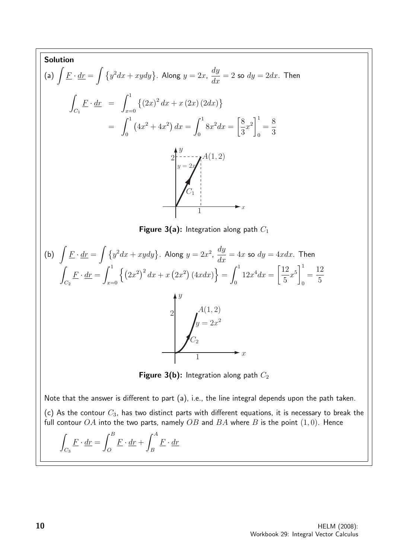**Solution**  
\n(a) 
$$
\int \underline{F} \cdot d\underline{r} = \int \{y^2 dx + xy dy\}
$$
. Along  $y = 2x$ ,  $\frac{dy}{dx} = 2$  so  $dy = 2dx$ . Then  
\n
$$
\int_{C_1} \underline{F} \cdot d\underline{r} = \int_{x=0}^{1} \{(2x)^2 dx + x(2x)(2dx)\}
$$
\n
$$
= \int_{0}^{1} (4x^2 + 4x^2) dx = \int_{0}^{1} 8x^2 dx = \left[\frac{8}{3}x^2\right]_{0}^{1} = \frac{8}{3}
$$
\n
$$
= \int_{y=-2}^{y=-2} \int_{y=-2}^{A(1,2)} (4x^2)
$$
\nFigure 3(a): Integration along path  $C_1$   
\n(b)  $\int \underline{F} \cdot d\underline{r} = \int \{y^2 dx + xy dy\}$ . Along  $y = 2x^2$ ,  $\frac{dy}{dx} = 4x$  so  $dy = 4xdx$ . Then  
\n
$$
\int_{C_2} \underline{F} \cdot d\underline{r} = \int_{x=0}^{1} \{ (2x^2)^2 dx + x (2x^2) (4xdx) \} = \int_{0}^{1} 12x^4 dx = \left[\frac{12}{5}x^5\right]_{0}^{1} = \frac{12}{5}
$$
\n
$$
\int_{C_2} \int_{y=2x^2}^{y=2x^2} \int_{C_2} \int_{y=2x^2}^{A(1,2)} \int_{x=2x^2} \int_{x=2x^2}^{A(1,2)} f(x) dx
$$
\nNote that the answer is different to part (a), i.e., the line integral depends upon the path taken.  
\n(c) As the contour  $C_3$ , has two distinct parts with different equations, it is necessary to break the full contour  $OA$  into the two parts, namely  $OB$  and  $BA$  where  $B$  is the point (1,0). Hence  
\n
$$
\int_{C_3} \underline{F} \cdot d\underline{r} = \int_{0}^{B} \underline{F} \cdot d\underline{r} + \int_{B}^{A} \underline{F} \cdot d\underline{r}
$$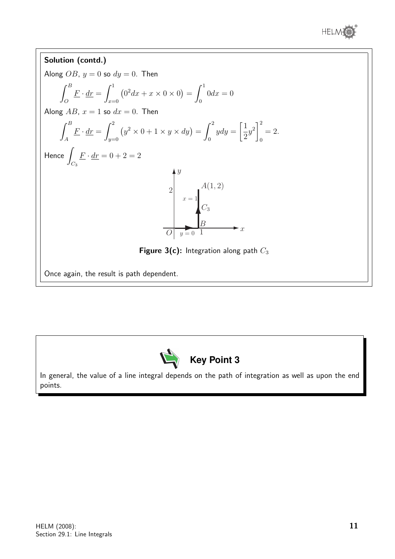

#### Solution (contd.) Along  $OB$ ,  $y = 0$  so  $dy = 0$ . Then  $\int^B$ O  $\underline{F}\cdot \underline{dr} = \int^1$  $x=0$  $(0^2 dx + x \times 0 \times 0) = \int_0^1$  $\mathbf{0}$  $0dx = 0$ Along  $AB$ ,  $x = 1$  so  $dx = 0$ . Then  $\int^B$ A  $\underline{F}\cdot \underline{dr} = \int^2$  $y=0$  $(y^2 \times 0 + 1 \times y \times dy) = \int_0^2$ 0  $ydy =$  $\lceil 1 \rceil$ 2  $y^2\Big]^2$ 0  $= 2.$ Hence J  $C_{3}$  $\underline{F} \cdot \underline{dr} = 0 + 2 = 2$  $\hat{y}$ 1 2  $y = 0$  $x = 1$  $C_3$  $A(1,2)$  $\overrightarrow{O}$   $\overrightarrow{y} = 0$   $\overrightarrow{1}$   $\overrightarrow{B}$ Figure 3(c): Integration along path  $C_3$ Once again, the result is path dependent.



In general, the value of a line integral depends on the path of integration as well as upon the end points.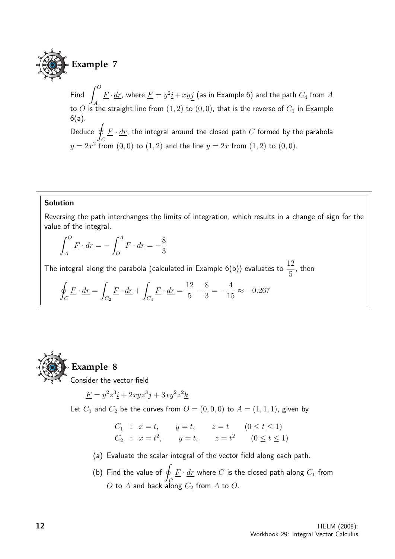

Find  $\int^O$ A  $\underline{F}\cdot \underline{dr}$ , where  $\underline{F} = y^2 \underline{i} + xyj$  (as in Example 6) and the path  $C_4$  from  $A$ to O is the straight line from  $(1, 2)$  to  $(0, 0)$ , that is the reverse of  $C_1$  in Example 6(a). Deduce q  $\mathcal C$  $\underline{F}\cdot \underline{dr}$ , the integral around the closed path  $C$  formed by the parabola

 $y = 2x^2$  from  $(0, 0)$  to  $(1, 2)$  and the line  $y = 2x$  from  $(1, 2)$  to  $(0, 0)$ .

#### Solution

Reversing the path interchanges the limits of integration, which results in a change of sign for the value of the integral.

$$
\int_{A}^{O} \underline{F} \cdot \underline{dr} = -\int_{O}^{A} \underline{F} \cdot \underline{dr} = -\frac{8}{3}
$$

The integral along the parabola (calculated in Example 6(b)) evaluates to  $\frac{12}{5}$ 5 , then

$$
\oint_C \underline{F} \cdot \underline{dr} = \int_{C_2} \underline{F} \cdot \underline{dr} + \int_{C_4} \underline{F} \cdot \underline{dr} = \frac{12}{5} - \frac{8}{3} = -\frac{4}{15} \approx -0.267
$$



# **Example 8**

Consider the vector field

$$
\underline{F} = y^2 z^3 \underline{i} + 2xyz^3 \underline{j} + 3xy^2 z^2 \underline{k}
$$

Let  $C_1$  and  $C_2$  be the curves from  $O = (0,0,0)$  to  $A = (1,1,1)$ , given by

$$
C_1
$$
 :  $x = t$ ,  $y = t$ ,  $z = t$   $(0 \le t \le 1)$   
\n $C_2$  :  $x = t^2$ ,  $y = t$ ,  $z = t^2$   $(0 \le t \le 1)$ 

- (a) Evaluate the scalar integral of the vector field along each path.
- (b) Find the value of  $q$ C  $\underline{F}\cdot \underline{dr}$  where  $C$  is the closed path along  $C_1$  from O to A and back along  $C_2$  from A to O.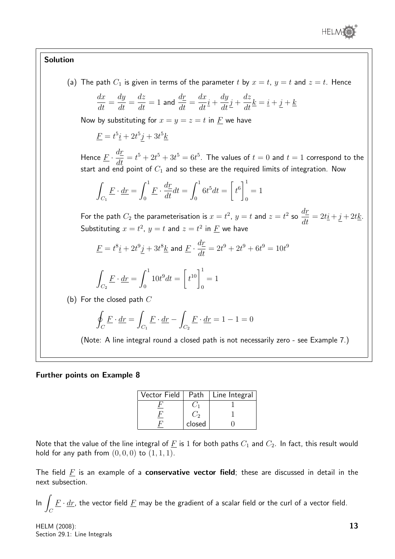

## Solution

(a) The path  $C_1$  is given in terms of the parameter t by  $x = t$ ,  $y = t$  and  $z = t$ . Hence  $dx$  $\frac{du}{dt} =$ dy  $\frac{dy}{dt} =$  $\frac{dz}{dt} = 1$  and  $\frac{dr}{dt} =$  $dx$  $\frac{d}{dt}\dot{t} +$ dy  $\frac{dy}{dt}j +$ dz  $\frac{d\mathbf{x}}{dt}\mathbf{k} = \mathbf{i} + \mathbf{j} + \mathbf{k}$ Now by substituting for  $x = y = z = t$  in  $\overline{F}$  we have  $\underline{F} = t^5 \underline{i} + 2t^5 \underline{j} + 3t^5 \underline{k}$ Hence  $\underline{F} \cdot \frac{d\underline{r}}{dt}$  $\frac{du}{dt} = t^5 + 2t^5 + 3t^5 = 6t^5$ . The values of  $t = 0$  and  $t = 1$  correspond to the start and end point of  $C_1$  and so these are the required limits of integration. Now Z  $C_1$  $\underline{F}\cdot \underline{dr} = \int^1$  $\mathbf{0}$  $\underline{F} \cdot \frac{dr}{dt}$  $\frac{d\mathbf{r}}{dt}dt =$  $\int_0^1$ 0  $6t^5dt =$  $\sqrt{ }$  $t^6\Big]^1$  $\mathbf{0}$  $= 1$ For the path  $C_2$  the parameterisation is  $x=t^2, \, y=t$  and  $z=t^2$  so  $\frac{dr}{\sqrt{2}}$  $\frac{dE}{dt} = 2t\underline{i} + \underline{j} + 2t\underline{k}.$ Substituting  $x=t^2, \, y=t$  and  $z=t^2$  in  $\underline{F}$  we have  $\underline{F}=t^8\underline{i}+2t^9\underline{j}+3t^8\underline{k}$  and  $\underline{F}\cdot\frac{d\underline{r}}{dt}$  $\frac{dt}{dt} = 2t^9 + 2t^9 + 6t^9 = 10t^9$ Z  $C_{2}$  $\underline{F}\cdot \underline{dr} = \int^1$ 0  $10t^9dt =$  $\sqrt{ }$  $t^{10}\Big]^1$ 0  $= 1$ (b) For the closed path  $C$ I  $\mathcal C$  $\underline{F} \cdot \underline{dr} =$  $C_1$  $\underline{F} \cdot \underline{dr} C_{2}$  $\underline{F} \cdot \underline{dr} = 1 - 1 = 0$ (Note: A line integral round a closed path is not necessarily zero - see Example 7.)

#### Further points on Example 8

| Vector Field | Path   | Line Integral |
|--------------|--------|---------------|
|              |        |               |
|              |        |               |
|              | closed |               |

Note that the value of the line integral of  $\underline{F}$  is 1 for both paths  $C_1$  and  $C_2$ . In fact, this result would hold for any path from  $(0, 0, 0)$  to  $(1, 1, 1)$ .

The field  $F$  is an example of a **conservative vector field**; these are discussed in detail in the next subsection.

 $\ln$   $\sqrt{2}$  $\mathcal{C}_{0}^{0}$  $\underline{F}\cdot \underline{dr}$ , the vector field  $\underline{F}$  may be the gradient of a scalar field or the curl of a vector field.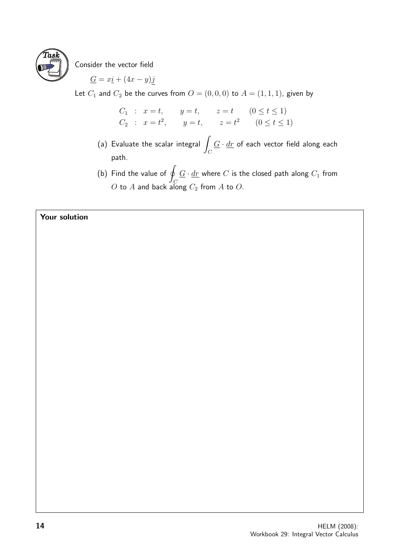

Consider the vector field

$$
\underline{G} = x\underline{i} + (4x - y)\underline{j}
$$

Let  $C_1$  and  $C_2$  be the curves from  $O = (0, 0, 0)$  to  $A = (1, 1, 1)$ , given by

$$
C_1
$$
:  $x = t$ ,  $y = t$ ,  $z = t$   $(0 \le t \le 1)$   
\n $C_2$ :  $x = t^2$ ,  $y = t$ ,  $z = t^2$   $(0 \le t \le 1)$ 

- (a) Evaluate the scalar integral  $\overline{\phantom{a}}$  $\mathcal C$  $G \cdot dr$  of each vector field along each path.
- (b) Find the value of  $q$ C  $\underline{G}\cdot \underline{dr}$  where  $C$  is the closed path along  $C_1$  from  $O$  to  $A$  and back along  $C_2$  from  $A$  to  $O$ .

## Your solution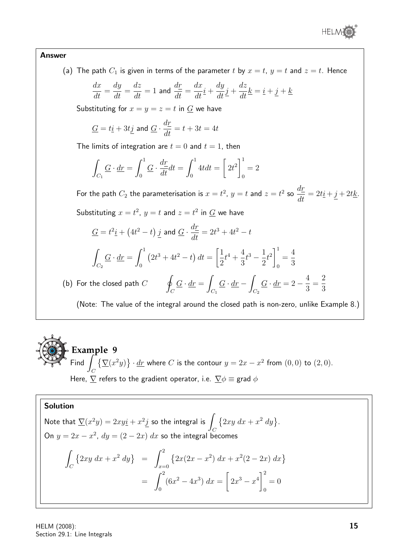

#### Answer

(a) The path  $C_1$  is given in terms of the parameter t by  $x = t$ ,  $y = t$  and  $z = t$ . Hence

$$
\frac{dx}{dt} = \frac{dy}{dt} = \frac{dz}{dt} = 1
$$
 and 
$$
\frac{d\underline{r}}{dt} = \frac{dx}{dt}\underline{i} + \frac{dy}{dt}\underline{j} + \frac{dz}{dt}\underline{k} = \underline{i} + \underline{j} + \underline{k}
$$

Substituting for  $x = y = z = t$  in  $G$  we have

$$
\underline{G}=t\underline{i}+3t\underline{j} \text{ and }\underline{G}\cdot \frac{d\underline{r}}{dt}=t+3t=4t
$$

The limits of integration are  $t = 0$  and  $t = 1$ , then

$$
\int_{C_1} \underline{G} \cdot \underline{dr} = \int_0^1 \underline{G} \cdot \frac{dr}{dt} dt = \int_0^1 4t dt = \left[ 2t^2 \right]_0^1 = 2
$$

For the path  $C_2$  the parameterisation is  $x=t^2, \, y=t$  and  $z=t^2$  so  $\frac{dr}{\sqrt{2}}$  $\frac{d\Omega}{dt} = 2t\underline{i} + \underline{j} + 2t\underline{k}.$ Substituting  $x = t^2$ ,  $y = t$  and  $z = t^2$  in  $\overline{G}$  we have

$$
\underline{G} = t^2 \underline{i} + (4t^2 - t) \underline{j} \text{ and } \underline{G} \cdot \frac{d\underline{r}}{dt} = 2t^3 + 4t^2 - t
$$
\n
$$
\int_{C_2} \underline{G} \cdot \underline{dr} = \int_0^1 (2t^3 + 4t^2 - t) dt = \left[ \frac{1}{2}t^4 + \frac{4}{3}t^3 - \frac{1}{2}t^2 \right]_0^1 = \frac{4}{3}
$$
\n(b) For the closed path  $C$ 

\n
$$
\oint_C \underline{G} \cdot \underline{dr} = \int_{C_1} \underline{G} \cdot \underline{dr} - \int_{C_2} \underline{G} \cdot \underline{dr} = 2 - \frac{4}{3} = \frac{2}{3}
$$
\n(Note: The value of the integral around the closed path is non-zero, unlike Example 8.)

**Example 9** Find  $\int$  $\mathcal{C}_{0}^{(n)}$  $\{\nabla(x^2y)\}\cdot d\mathbf{r}$  where C is the contour  $y=2x-x^2$  from  $(0,0)$  to  $(2,0)$ . Here,  $\nabla$  refers to the gradient operator, i.e.  $\nabla \phi \equiv$  grad  $\phi$ 

# Solution

Note that 
$$
\sum (x^2y) = 2xy\underline{i} + x^2\underline{j}
$$
 so the integral is  $\int_C \{2xy \, dx + x^2 \, dy\}$ .  
\nOn  $y = 2x - x^2$ ,  $dy = (2 - 2x) \, dx$  so the integral becomes  
\n
$$
\int_C \{2xy \, dx + x^2 \, dy\} = \int_{x=0}^2 \{2x(2x - x^2) \, dx + x^2(2 - 2x) \, dx\}
$$
\n
$$
= \int_0^2 (6x^2 - 4x^3) \, dx = \left[2x^3 - x^4\right]_0^2 = 0
$$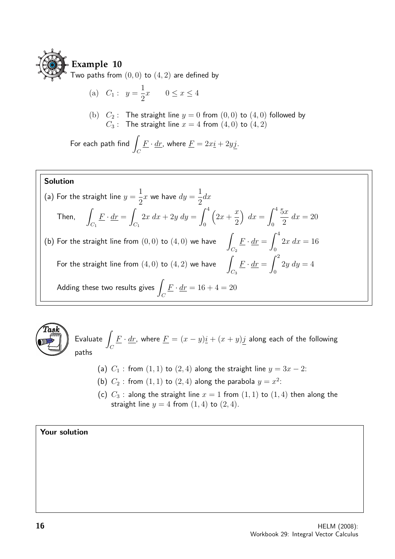

(a) 
$$
C_1: y = \frac{1}{2}x \quad 0 \le x \le 4
$$

(b)  $C_2$ : The straight line  $y = 0$  from  $(0, 0)$  to  $(4, 0)$  followed by  $C_3$ : The straight line  $x = 4$  from  $(4, 0)$  to  $(4, 2)$ 

For each path find  $\overline{I}$  $\mathcal C$  $\underline{F}\cdot \underline{dr}$ , where  $\underline{F}=2x\underline{i}+2y\underline{j}$ .

# Solution

(a) For the straight line 
$$
y = \frac{1}{2}x
$$
 we have  $dy = \frac{1}{2}dx$   
\nThen, 
$$
\int_{C_1} \underline{F} \cdot d\underline{r} = \int_{C_1} 2x \, dx + 2y \, dy = \int_0^4 (2x + \frac{x}{2}) \, dx = \int_0^4 \frac{5x}{2} \, dx = 20
$$
\n(b) For the straight line from (0, 0) to (4, 0) we have 
$$
\int_{C_2} \underline{F} \cdot d\underline{r} = \int_0^4 2x \, dx = 16
$$
\nFor the straight line from (4, 0) to (4, 2) we have 
$$
\int_{C_3} \underline{F} \cdot d\underline{r} = \int_0^2 2y \, dy = 4
$$
\nAdding these two results gives 
$$
\int_C \underline{F} \cdot d\underline{r} = 16 + 4 = 20
$$



 $E$ valuate  $\mathcal C$  $\underline{F}\cdot \underline{dr}$ , where  $\underline{F}=(x-y)\underline{i}+(x+y)j$  along each of the following paths

- (a)  $C_1$ : from  $(1, 1)$  to  $(2, 4)$  along the straight line  $y = 3x 2$ :
- (b)  $C_2$ : from  $(1,1)$  to  $(2,4)$  along the parabola  $y = x^2$ :
- (c)  $C_3$ : along the straight line  $x = 1$  from  $(1, 1)$  to  $(1, 4)$  then along the straight line  $y = 4$  from  $(1, 4)$  to  $(2, 4)$ .

# Your solution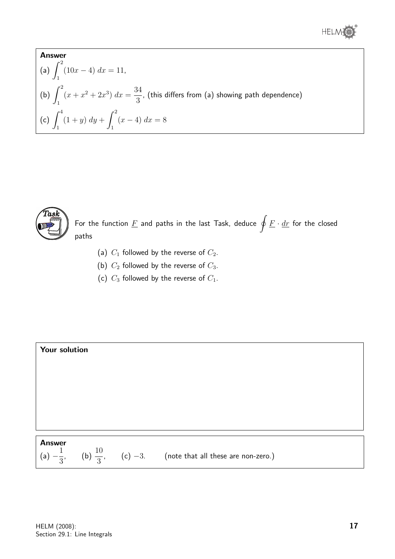

Answer  
\n(a) 
$$
\int_{1}^{2} (10x - 4) dx = 11
$$
,  
\n(b)  $\int_{1}^{2} (x + x^2 + 2x^3) dx = \frac{34}{3}$ , (this differs from (a) showing path dependence)  
\n(c)  $\int_{1}^{4} (1 + y) dy + \int_{1}^{2} (x - 4) dx = 8$ 



For the function  $\underline{F}$  and paths in the last Task, deduce  $\oint \underline{F}\cdot \underline{dr}$  for the closed paths

- (a)  $C_1$  followed by the reverse of  $C_2$ .
- (b)  $C_2$  followed by the reverse of  $C_3$ .
- (c)  $C_3$  followed by the reverse of  $C_1$ .

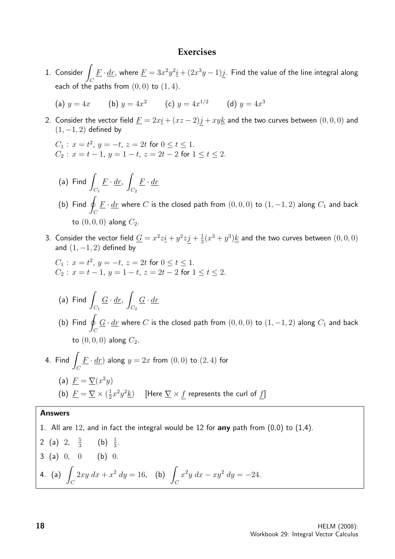#### **Exercises**

1. Consider  $\mathcal{C}_{0}^{(n)}$  $\underline{F}\cdot \underline{dr}$ , where  $\underline{F}=3x^2y^2\underline{i}+(2x^3y-1)\underline{j}.$  Find the value of the line integral along each of the paths from  $(0, 0)$  to  $(1, 4)$ .

(a) 
$$
y = 4x
$$
 (b)  $y = 4x^2$  (c)  $y = 4x^{1/2}$  (d)  $y = 4x^3$ 

2. Consider the vector field  $\underline{F} = 2x\underline{i} + (xz - 2)\underline{j} + xy\underline{k}$  and the two curves between  $(0,0,0)$  and  $(1, -1, 2)$  defined by

$$
C_1: x = t^2, y = -t, z = 2t \text{ for } 0 \le t \le 1.
$$
  
\n
$$
C_2: x = t - 1, y = 1 - t, z = 2t - 2 \text{ for } 1 \le t \le 2.
$$

- $(a)$  Find  $C_1$  $\underline{F} \cdot \underline{dr},$  $C_2$  $\underline{F} \cdot \underline{dr}$
- (b) Find  $q$  $\mathcal{C}_{0}^{0}$  $\underline{F}\cdot \underline{dr}$  where  $C$  is the closed path from  $(0,0,0)$  to  $(1,-1,2)$  along  $C_1$  and back to  $(0, 0, 0)$  along  $C_2$ .
- 3. Consider the vector field  $\underline{G} = x^2z\underline{i} + y^2z\underline{j} + \frac{1}{3}$  $\frac{1}{3}(x^3+y^3)$  and the two curves between  $(0,0,0)$ and  $(1, -1, 2)$  defined by

$$
C_1: x = t^2, y = -t, z = 2t \text{ for } 0 \le t \le 1.
$$
  
\n
$$
C_2: x = t - 1, y = 1 - t, z = 2t - 2 \text{ for } 1 \le t \le 2.
$$

- $(a)$  Find  $C_1$  $\underline{G} \cdot \underline{dr}$ ,  $C_2$  $\underline{G}\cdot \underline{dr}$
- (b) Find  $q$  $\mathcal{C}_{0}^{0}$  $\underline{G} \cdot \underline{dr}$  where  $C$  is the closed path from  $(0,0,0)$  to  $(1,-1,2)$  along  $C_1$  and back to  $(0, 0, 0)$  along  $C_2$ .
- 4. Find  $\sqrt{2}$  $\mathcal{C}_{0}^{(n)}$  $\underline{F} \cdot \underline{dr}$ ) along  $y = 2x$  from  $(0,0)$  to  $(2,4)$  for (a)  $\underline{F} = \underline{\nabla}(x^2y)$ (b)  $\underline{F} = \underline{\nabla} \times (\frac{1}{2})$  $\frac{1}{2} x^2 y^2 \underline{k} )$  [Here  $\underline{\nabla} \times \underline{f}$  represents the curl of  $\underline{f} ]$

#### Answers

1. All are 12, and in fact the integral would be 12 for any path from  $(0,0)$  to  $(1,4)$ . 2 (a) 2,  $\frac{5}{3}$  $\frac{5}{3}$  (b)  $\frac{1}{3}$ .  $3$  (a)  $0, 0$  (b)  $0.$ 4. (a)  $\int$  $\mathcal{C}_{0}^{0}$  $2xy \, dx + x^2 \, dy = 16$ , (b)  $\mathcal C$  $x^2y\ dx - xy^2\ dy = -24.$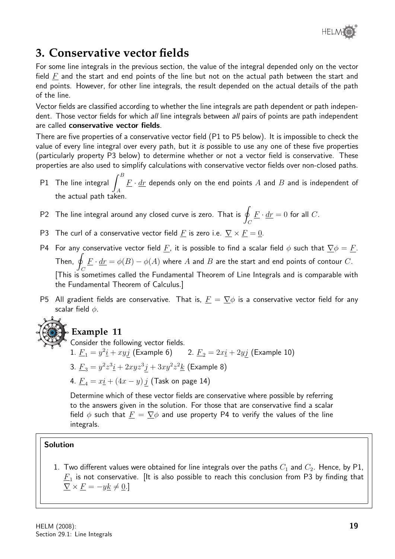

# **3. Conservative vector fields**

For some line integrals in the previous section, the value of the integral depended only on the vector field  $F$  and the start and end points of the line but not on the actual path between the start and end points. However, for other line integrals, the result depended on the actual details of the path of the line.

Vector fields are classified according to whether the line integrals are path dependent or path independent. Those vector fields for which all line integrals between all pairs of points are path independent are called conservative vector fields.

There are five properties of a conservative vector field (P1 to P5 below). It is impossible to check the value of every line integral over every path, but it is possible to use any one of these five properties (particularly property P3 below) to determine whether or not a vector field is conservative. These properties are also used to simplify calculations with conservative vector fields over non-closed paths.

- P1 The line integral  $\int^B$ A  $\underline{F}\cdot \underline{dr}$  depends only on the end points  $A$  and  $B$  and is independent of the actual path taken.
- P2 The line integral around any closed curve is zero. That is  $q$  $\mathcal C$  $\underline{F}\cdot \underline{dr}=0$  for all  $C.$
- P3 The curl of a conservative vector field F is zero i.e.  $\nabla \times F = 0$ .
- P4 For any conservative vector field E, it is possible to find a scalar field  $\phi$  such that  $\nabla \phi = F$ . Then,  $\oint \underline{F} \cdot \underline{dr} = \phi(B) - \phi(A)$  where  $A$  and  $B$  are the start and end points of contour  $C.$  $\frac{J_C}{J}$  This is sometimes called the Fundamental Theorem of Line Integrals and is comparable with the Fundamental Theorem of Calculus.]
- P5 All gradient fields are conservative. That is,  $\underline{F} = \nabla \phi$  is a conservative vector field for any scalar field  $\phi$ .



# **Example 11**

Consider the following vector fields. 1.  $\underline{F}_1 = y^2 \underline{i} + xy \underline{j}$  (Example 6) 2.  $\underline{F}_2 = 2x \underline{i} + 2y \underline{j}$  (Example 10) 3.  $\underline{F}_3 = y^2 z^3 \underline{i} + 2xyz^3 \underline{j} + 3xy^2 z^2 \underline{k}$  (Example 8) 4.  $F_4 = x \cdot i + (4x - y) j$  (Task on page 14)

Determine which of these vector fields are conservative where possible by referring to the answers given in the solution. For those that are conservative find a scalar field  $\phi$  such that  $\underline{F} = \nabla \phi$  and use property P4 to verify the values of the line integrals.

# Solution

1. Two different values were obtained for line integrals over the paths  $C_1$  and  $C_2$ . Hence, by P1,  $\overline{F}_{1}$  is not conservative. [It is also possible to reach this conclusion from P3 by finding that  $\nabla \times F = -yk \neq 0.$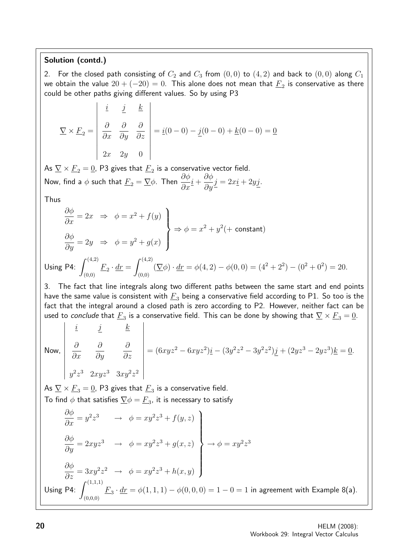# Solution (contd.)

2. For the closed path consisting of  $C_2$  and  $C_3$  from  $(0,0)$  to  $(4,2)$  and back to  $(0,0)$  along  $C_1$ we obtain the value  $20 + (-20) = 0$ . This alone does not mean that  $\underline{F}_2$  is conservative as there could be other paths giving different values. So by using P3

$$
\nabla \times \underline{F}_2 = \begin{vmatrix} \underline{i} & \underline{j} & \underline{k} \\ \frac{\partial}{\partial x} & \frac{\partial}{\partial y} & \frac{\partial}{\partial z} \\ 2x & 2y & 0 \end{vmatrix} = \underline{i}(0 - 0) - \underline{j}(0 - 0) + \underline{k}(0 - 0) = \underline{0}
$$

As  $\underline{V}\times \underline{F}_2=\underline{0}$ , P3 gives that  $\underline{F}_2$  is a conservative vector field. Now, find a  $\phi$  such that  $\underline{F}_2 = \underline{\nabla} \phi$ . Then  $\frac{\partial \phi}{\partial x} \underline{i} +$  $\partial \phi$  $\frac{\partial \varphi}{\partial y} \underline{j} = 2x \underline{i} + 2y \underline{j}.$ 

Thus

$$
\begin{aligned}\n\frac{\partial \phi}{\partial x} &= 2x \implies \phi = x^2 + f(y) \\
\frac{\partial \phi}{\partial y} &= 2y \implies \phi = y^2 + g(x)\n\end{aligned}\n\right\} \Rightarrow \phi = x^2 + y^2 (+ \text{ constant})
$$
\nUsing P4: 
$$
\int_{(0,0)}^{(4,2)} \underline{F}_2 \cdot \underline{dr} = \int_{(0,0)}^{(4,2)} (\nabla \phi) \cdot \underline{dr} = \phi(4, 2) - \phi(0, 0) = (4^2 + 2^2) - (0^2 + 0^2) = 20.
$$

3. The fact that line integrals along two different paths between the same start and end points have the same value is consistent with  $F_3$  being a conservative field according to P1. So too is the fact that the integral around a closed path is zero according to P2. However, neither fact can be used to *conclude* that  $\underline{F}_3$  is a conservative field. This can be done by showing that  $\nabla\times \underline{F}_3=\underline{0}.$ 

Now, 
$$
\begin{vmatrix} \frac{i}{\partial x} & \frac{j}{\partial y} & \frac{k}{\partial z} \\ \frac{\partial}{\partial x} & \frac{\partial}{\partial y} & \frac{\partial}{\partial z} \\ y^2 z^3 & 2xyz^3 & 3xy^2 z^2 \end{vmatrix} = (6xyz^2 - 6xyz^2)\underline{i} - (3y^2z^2 - 3y^2z^2)\underline{j} + (2yz^3 - 2yz^3)\underline{k} = \underline{0}.
$$

As  $\underline{V}\times \underline{F}_3=\underline{0}$ , P3 gives that  $\underline{F}_3$  is a conservative field. To find  $\phi$  that satisfies  $\nabla \phi = \underline{F}_3$ , it is necessary to satisfy

$$
\begin{aligned}\n\frac{\partial \phi}{\partial x} &= y^2 z^3 \quad \rightarrow \quad \phi = xy^2 z^3 + f(y, z) \\
\frac{\partial \phi}{\partial y} &= 2xyz^3 \quad \rightarrow \quad \phi = xy^2 z^3 + g(x, z) \\
\frac{\partial \phi}{\partial z} &= 3xy^2 z^2 \quad \rightarrow \quad \phi = xy^2 z^3 + h(x, y)\n\end{aligned}\n\Rightarrow \phi = xy^2 z^3
$$
\nUsing P4: 
$$
\int_{(0,0,0)}^{(1,1,1)} \underline{F}_3 \cdot \underline{dr} = \phi(1,1,1) - \phi(0,0,0) = 1 - 0 = 1
$$
 in agreement with Example 8(a).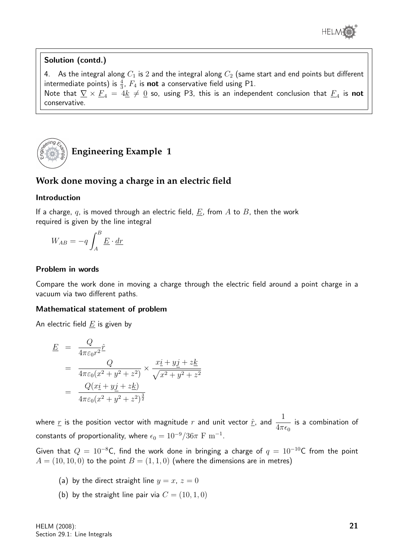

## Solution (contd.)

4. As the integral along  $C_1$  is 2 and the integral along  $C_2$  (same start and end points but different intermediate points) is  $\frac{4}{3}$ ,  $F_4$  is **not** a conservative field using P1. Note that  $\nabla \times E_4 = 4\underline{k} \neq \underline{0}$  so, using P3, this is an independent conclusion that  $E_4$  is  $\boldsymbol{\mathsf{not}}$ conservative.



# **Work done moving a charge in an electric field**

### Introduction

If a charge, q, is moved through an electric field,  $E$ , from A to B, then the work required is given by the line integral

$$
W_{AB} = -q \int_A^B \underline{E} \cdot \underline{dr}
$$

### Problem in words

Compare the work done in moving a charge through the electric field around a point charge in a vacuum via two different paths.

### Mathematical statement of problem

An electric field  $E$  is given by

$$
\begin{aligned}\n\underline{E} &= \frac{Q}{4\pi\varepsilon_0 r^2} \hat{r} \\
&= \frac{Q}{4\pi\varepsilon_0 (x^2 + y^2 + z^2)} \times \frac{x\underline{i} + y\underline{j} + z\underline{k}}{\sqrt{x^2 + y^2 + z^2}} \\
&= \frac{Q(x\underline{i} + y\underline{j} + z\underline{k})}{4\pi\varepsilon_0 (x^2 + y^2 + z^2)^{\frac{3}{2}}}\n\end{aligned}
$$

where  $\underline{r}$  is the position vector with magnitude  $r$  and unit vector  $\underline{\hat{r}}$ , and  $\frac{1}{4}$  $4\pi\epsilon_0$ is a combination of constants of proportionality, where  $\epsilon_0 = 10^{-9}/36\pi\,\,{\rm F}\,\,{\rm m}^{-1}.$ 

Given that  $Q = 10^{-8}$ C, find the work done in bringing a charge of  $q = 10^{-10}$ C from the point  $A = (10, 10, 0)$  to the point  $B = (1, 1, 0)$  (where the dimensions are in metres)

- (a) by the direct straight line  $y = x$ ,  $z = 0$
- (b) by the straight line pair via  $C = (10, 1, 0)$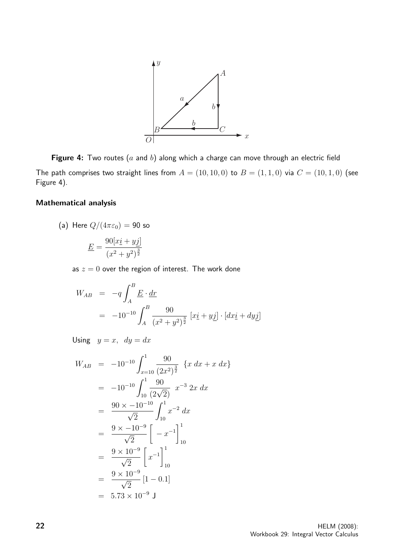

Figure 4: Two routes ( $a$  and  $b$ ) along which a charge can move through an electric field The path comprises two straight lines from  $A = (10, 10, 0)$  to  $B = (1, 1, 0)$  via  $C = (10, 1, 0)$  (see Figure 4).

#### Mathematical analysis

(a) Here 
$$
Q/(4\pi\varepsilon_0) = 90
$$
 so

$$
\underline{E} = \frac{90[x\underline{i} + y\underline{j}]}{(x^2 + y^2)^{\frac{3}{2}}}
$$

as  $z = 0$  over the region of interest. The work done

$$
W_{AB} = -q \int_{A}^{B} \underline{E} \cdot \underline{dr}
$$
  
= -10<sup>-10</sup>  $\int_{A}^{B} \frac{90}{(x^2 + y^2)^{\frac{3}{2}}}[x\underline{i} + y\underline{j}] \cdot [dx\underline{i} + dy\underline{j}]$ 

Using  $y = x$ ,  $dy = dx$ 

$$
W_{AB} = -10^{-10} \int_{x=10}^{1} \frac{90}{(2x^2)^{\frac{3}{2}}} \{x \, dx + x \, dx\}
$$
  
\n
$$
= -10^{-10} \int_{10}^{1} \frac{90}{(2\sqrt{2})} x^{-3} \, 2x \, dx
$$
  
\n
$$
= \frac{90 \times -10^{-10}}{\sqrt{2}} \int_{10}^{1} x^{-2} \, dx
$$
  
\n
$$
= \frac{9 \times -10^{-9}}{\sqrt{2}} \left[ -x^{-1} \right]_{10}^{1}
$$
  
\n
$$
= \frac{9 \times 10^{-9}}{\sqrt{2}} \left[ x^{-1} \right]_{10}^{1}
$$
  
\n
$$
= \frac{9 \times 10^{-9}}{\sqrt{2}} [1 - 0.1]
$$
  
\n
$$
= 5.73 \times 10^{-9} J
$$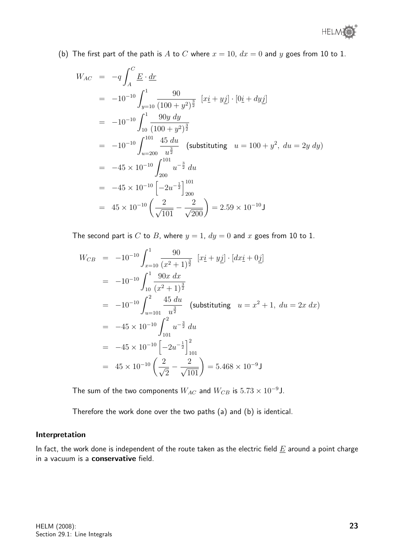(b) The first part of the path is A to C where  $x = 10$ ,  $dx = 0$  and y goes from 10 to 1.

$$
W_{AC} = -q \int_{A}^{C} \underline{E} \cdot \underline{dr}
$$
  
=  $-10^{-10} \int_{y=10}^{1} \frac{90}{(100 + y^2)^{\frac{3}{2}}}$   $[xi + y\underline{j}] \cdot [0\underline{i} + dy\underline{j}]$   
=  $-10^{-10} \int_{10}^{1} \frac{90y \, dy}{(100 + y^2)^{\frac{3}{2}}}$   
=  $-10^{-10} \int_{u=200}^{101} \frac{45 \, du}{u^{\frac{3}{2}}}$  (substituting  $u = 100 + y^2$ ,  $du = 2y \, dy$ )  
=  $-45 \times 10^{-10} \int_{200}^{101} u^{-\frac{3}{2}} \, du$   
=  $-45 \times 10^{-10} \left[ -2u^{-\frac{1}{2}} \right]_{200}^{101}$   
=  $45 \times 10^{-10} \left( \frac{2}{\sqrt{101}} - \frac{2}{\sqrt{200}} \right) = 2.59 \times 10^{-10} \text{ J}$ 

The second part is C to B, where  $y = 1$ ,  $dy = 0$  and x goes from 10 to 1.

$$
W_{CB} = -10^{-10} \int_{x=10}^{1} \frac{90}{(x^2+1)^{\frac{3}{2}}} [x \underline{i} + y \underline{j}] \cdot [dx \underline{i} + 0 \underline{j}]
$$
  
\n
$$
= -10^{-10} \int_{10}^{1} \frac{90x \, dx}{(x^2+1)^{\frac{3}{2}}}
$$
  
\n
$$
= -10^{-10} \int_{u=101}^{2} \frac{45 \, du}{u^{\frac{3}{2}}} \quad \text{(substituting } u = x^2 + 1, du = 2x \, dx)
$$
  
\n
$$
= -45 \times 10^{-10} \int_{101}^{2} u^{-\frac{3}{2}} \, du
$$
  
\n
$$
= -45 \times 10^{-10} \left[ -2u^{-\frac{1}{2}} \right]_{101}^{2}
$$
  
\n
$$
= 45 \times 10^{-10} \left( \frac{2}{\sqrt{2}} - \frac{2}{\sqrt{101}} \right) = 5.468 \times 10^{-9} \text{J}
$$

The sum of the two components  $W_{AC}$  and  $W_{CB}$  is  $5.73 \times 10^{-9}$ J.

Therefore the work done over the two paths (a) and (b) is identical.

#### Interpretation

In fact, the work done is independent of the route taken as the electric field  $E$  around a point charge in a vacuum is a conservative field.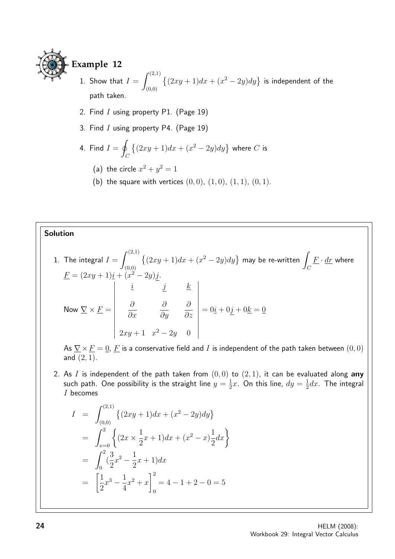

# **Example 12**

- 1. Show that  $I = \int^{(2,1)}$ (0,0)  $\{(2xy+1)dx + (x^2-2y)dy\}$  is independent of the path taken.
- 2. Find  $I$  using property P1. (Page 19)
- 3. Find  $I$  using property P4. (Page 19)

4. Find 
$$
I = \oint_C \{(2xy + 1)dx + (x^2 - 2y)dy\}
$$
 where C is

- (a) the circle  $x^2 + y^2 = 1$
- (b) the square with vertices  $(0, 0)$ ,  $(1, 0)$ ,  $(1, 1)$ ,  $(0, 1)$ .

# Solution

1. The integral 
$$
I = \int_{(0,0)}^{(2,1)} \{(2xy + 1)dx + (x^2 - 2y)dy\}
$$
 may be re-written  $\int_C \frac{F \cdot dr}{dx}$  where  
\n
$$
\frac{F}{dx} = (2xy + 1)\frac{i}{2} + (x^2 - 2y)\frac{j}{2}.
$$
\nNow  $\nabla \times \underline{F} = \begin{vmatrix} \frac{\partial}{\partial x} & \frac{\partial}{\partial y} & \frac{\partial}{\partial z} \\ \frac{\partial}{\partial x} & \frac{\partial}{\partial y} & \frac{\partial}{\partial z} \\ 2xy + 1 & x^2 - 2y & 0 \end{vmatrix} = 0\frac{i}{2} + 0\frac{j}{2} + 0\frac{k}{2} = 0$ 

As  $\nabla \times F = 0$ , F is a conservative field and I is independent of the path taken between  $(0, 0)$ and  $(2, 1)$ .

2. As I is independent of the path taken from  $(0,0)$  to  $(2,1)$ , it can be evaluated along any such path. One possibility is the straight line  $y=\frac{1}{2}$  $\frac{1}{2}x$ . On this line,  $dy = \frac{1}{2}$  $\frac{1}{2}dx$ . The integral I becomes

$$
I = \int_{(0,0)}^{(2,1)} \left\{ (2xy + 1)dx + (x^2 - 2y)dy \right\}
$$
  
= 
$$
\int_{x=0}^{2} \left\{ (2x \times \frac{1}{2}x + 1)dx + (x^2 - x)\frac{1}{2}dx \right\}
$$
  
= 
$$
\int_{0}^{2} (\frac{3}{2}x^2 - \frac{1}{2}x + 1)dx
$$
  
= 
$$
\left[ \frac{1}{2}x^3 - \frac{1}{4}x^2 + x \right]_{0}^{2} = 4 - 1 + 2 - 0 = 5
$$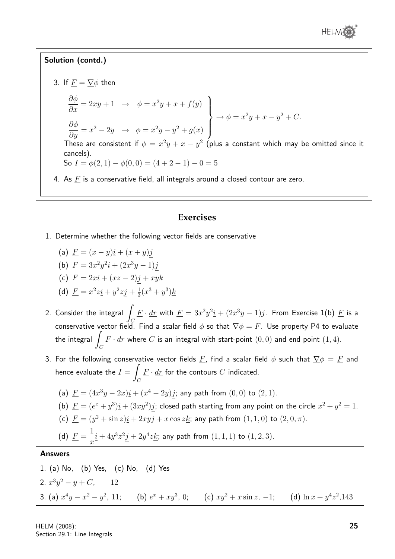

# Solution (contd.)

- 3. If  $\underline{F} = \underline{\nabla}\phi$  then  $\frac{\partial \phi}{\partial x} = 2xy + 1 \rightarrow \phi = x^2y + x + f(y)$  $\partial \phi$  $\frac{\partial \varphi}{\partial y} = x^2 - 2y \rightarrow \phi = x^2y - y^2 + g(x)$  $\mathcal{L}$  $\overline{\mathcal{L}}$  $\int$  $\rightarrow \phi = x^2y + x - y^2 + C.$ These are consistent if  $\phi = x^2y + x - y^2$  (plus a constant which may be omitted since it cancels). So  $I = \phi(2, 1) - \phi(0, 0) = (4 + 2 - 1) - 0 = 5$ 
	- 4. As  $F$  is a conservative field, all integrals around a closed contour are zero.

# **Exercises**

- 1. Determine whether the following vector fields are conservative
	- (a)  $F = (x y)i + (x + y)i$ (b)  $\underline{F} = 3x^2y^2\underline{i} + (2x^3y - 1)\underline{j}$
	- (c)  $F = 2xi + (xz 2)j + xyk$
	- (d)  $\underline{F} = x^2 z \underline{i} + y^2 z \underline{j} + \frac{1}{3}$  $\frac{1}{3}(x^3+y^3)$ <u>k</u>
- 2. Consider the integral  $\overline{I}$ C  $\underline{F}\cdot \underline{dr}$  with  $\underline{F}=3x^2y^2\underline{i}+(2x^3y-1)\underline{j}.$  From Exercise 1(b)  $\underline{F}$  is a conservative vector field. Find a scalar field  $\phi$  so that  $\nabla \phi = F$ . Use property P4 to evaluate the integral  $\overline{I}$  $\mathcal{C}_{0}^{(n)}$  $\underline{F}\cdot \underline{dr}$  where  $C$  is an integral with start-point  $(0,0)$  and end point  $(1,4).$
- 3. For the following conservative vector fields F, find a scalar field  $\phi$  such that  $\nabla \phi = F$  and hence evaluate the  $I = \int$  $\mathcal{C}_{0}^{0}$  $\underline{F}\cdot \underline{dr}$  for the contours  $C$  indicated.
	- (a)  $\underline{F} = (4x^3y 2x)\underline{i} + (x^4 2y)\underline{j}$ ; any path from  $(0,0)$  to  $(2,1)$ .
	- (b)  $\underline{F} = (e^x + y^3)\underline{i} + (3xy^2)\underline{j}$ ; closed path starting from any point on the circle  $x^2 + y^2 = 1$ .
	- (c)  $\underline{F} = (y^2 + \sin z)\underline{i} + 2xy\underline{j} + x\cos z\underline{k}$ ; any path from  $(1,1,0)$  to  $(2,0,\pi)$ .
	- (d)  $\underline{F} =$ 1  $\overline{x}$  $\underline{i} + 4y^3z^2j + 2y^4z \underline{k}$ ; any path from  $(1,1,1)$  to  $(1,2,3)$ .

# Answers

1. (a) No, (b) Yes, (c) No, (d) Yes 2.  $x^3y^2 - y + C$ , 12 3. (a)  $x^4y - x^2 - y^2$ , 11; (b)  $e^x + xy^3$ , 0; (c)  $xy^2 + x \sin z$ , -1; (d)  $\ln x + y^4z^2$ , 143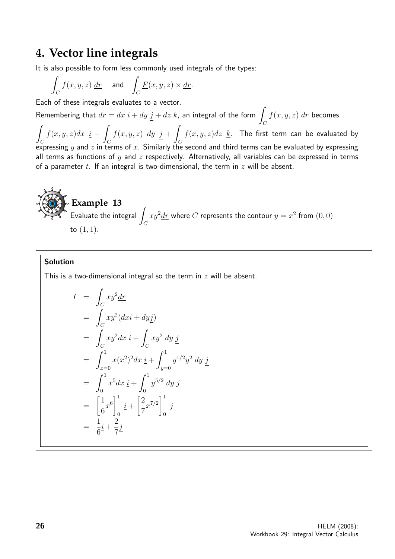# **4. Vector line integrals**

It is also possible to form less commonly used integrals of the types:

$$
\int_C f(x, y, z) \, \underline{dr} \quad \text{ and } \quad \int_C \underline{F}(x, y, z) \times \underline{dr}.
$$

Each of these integrals evaluates to a vector.

Remembering that  $\underline{dr} = dx \, \underline{i} + dy \, j + dz \, \underline{k}$ , an integral of the form  $\int \, f(x,y,z) \, \underline{dr}$  becomes

 $\int_{C} f(x,y) dx = \int_{C} f(x,y) dx + \int_{C} f(x,y) dx + \int_{C} f(x,y) dx$  $\mathcal{C}_{0}^{0}$  $f(x, y, z)dx \underline{i} +$  $\mathcal{C}_{0}^{0}$  $f(x, y, z)$  dy  $j + \frac{1}{2}$  $\mathcal C$  $f(x, y, z)dz$   $\underline{k}$ . The first term can be evaluated by expressing  $y$  and  $z$  in terms of  $x$ . Similarly the second and third terms can be evaluated by expressing all terms as functions of  $y$  and  $z$  respectively. Alternatively, all variables can be expressed in terms of a parameter t. If an integral is two-dimensional, the term in  $z$  will be absent.

**Example 13**  
Evaluate the integral 
$$
\int_C xy^2 dx
$$
 where C represents the contour  $y = x^2$  from (0, 0)  
to (1, 1).

### Solution

This is a two-dimensional integral so the term in  $z$  will be absent.

$$
I = \int_C xy^2 \frac{dr}{dx}
$$
  
\n
$$
= \int_C xy^2 (dx \underline{i} + dy \underline{j})
$$
  
\n
$$
= \int_C xy^2 dx \underline{i} + \int_C xy^2 dy \underline{j}
$$
  
\n
$$
= \int_{x=0}^1 x(x^2)^2 dx \underline{i} + \int_{y=0}^1 y^{1/2} y^2 dy \underline{j}
$$
  
\n
$$
= \int_0^1 x^5 dx \underline{i} + \int_0^1 y^{5/2} dy \underline{j}
$$
  
\n
$$
= \left[\frac{1}{6}x^6\right]_0^1 \underline{i} + \left[\frac{2}{7}x^{7/2}\right]_0^1 \underline{j}
$$
  
\n
$$
= \frac{1}{6} \underline{i} + \frac{2}{7} \underline{j}
$$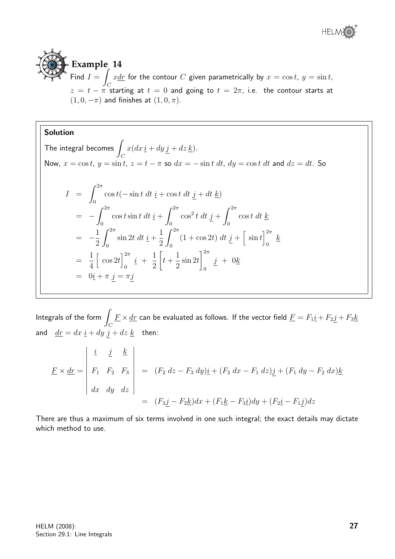

# **Example 14**

Find  $I = \int x \, dx$  for the contour  $C$  given parametrically by  $x = \cos t, y = \sin t$ ,  $z = t - \pi$  starting at  $t = 0$  and going to  $t = 2\pi$ , i.e. the contour starts at  $(1, 0, -\pi)$  and finishes at  $(1, 0, \pi)$ .

## Solution

The integral becomes  $\overline{I}$  $\mathcal C$  $x(dx \underline{i} + dy j + dz \underline{k}).$ Now,  $x = \cos t$ ,  $y = \sin t$ ,  $z = t - \pi$  so  $dx = -\sin t dt$ ,  $dy = \cos t dt$  and  $dz = dt$ . So  $I = \int^{2\pi}$ 0  $\cos t(-\sin t \, dt \, \underline{i} + \cos t \, dt \, j + dt \, \underline{k})$  $=$   $\int^{2\pi}$  $\boldsymbol{0}$  $\cos t \sin t \, dt \, \frac{i}{t} + \int^{2\pi}$  $\mathbf{0}$  $\cos^2 t \, dt \, j + \int^{2\pi}$ 0  $\cos t \ dt \ \underline{k}$  $= -\frac{1}{2}$ 2  $\int^{2\pi}$ 0  $\sin 2t \, dt \, \underline{i} +$ 1 2  $\int^{2\pi}$  $\mathbf{0}$  $(1 + \cos 2t) dt j + \sin t^{2\pi}$  $\frac{k}{2}$ = 1 4  $\left[\cos 2t\right]^{2\pi}$  $\frac{i}{0}$  + 1 2  $\sqrt{ }$  $t +$ 1 2  $\sin 2t$  $\vert^{2\pi}$ 0  $j + 0k$  $= 0i + \pi j = \pi j$ 

Integrals of the form  $\int$  $\mathcal{C}_{0}^{(n)}$  $\underline{F}\times \underline{dr}$  can be evaluated as follows. If the vector field  $\underline{F}=F_1\underline{i}+F_2\underline{j}+F_3\underline{k}$ and  $\frac{dr}{dt} = dx \cdot \frac{i}{dt} + dy \cdot \frac{j}{dt} + dz \cdot \frac{k}{dt}$  then:

$$
\underline{F} \times \underline{dr} = \begin{vmatrix} \underline{i} & \underline{j} & \underline{k} \\ F_1 & F_2 & F_3 \\ dx & dy & dz \end{vmatrix} = (F_2 dz - F_3 dy)\underline{i} + (F_3 dx - F_1 dz)\underline{j} + (F_1 dy - F_2 dx)\underline{k}
$$

$$
= (F_3\underline{j} - F_2\underline{k})dx + (F_1\underline{k} - F_3\underline{i})dy + (F_2\underline{i} - F_1\underline{j})dz
$$

There are thus a maximum of six terms involved in one such integral; the exact details may dictate which method to use.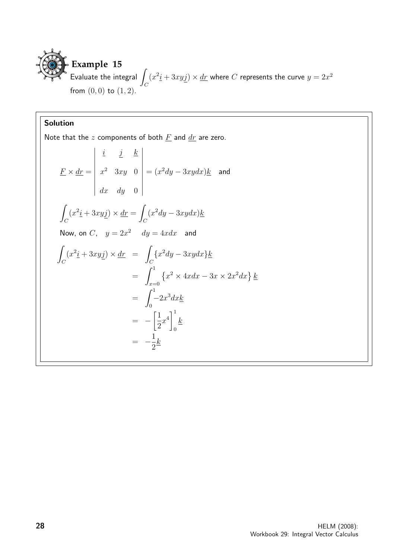

# Solution

Note that the  $z$  components of both  $\underline{F}$  and  $\underline{dr}$  are zero.

$$
\underline{F} \times \underline{dr} = \begin{vmatrix} \underline{i} & \underline{j} & \underline{k} \\ x^2 & 3xy & 0 \\ dx & dy & 0 \end{vmatrix} = (x^2 dy - 3xy dx) \underline{k} \text{ and}
$$
\n
$$
\int_C (x^2 \underline{i} + 3xy \underline{j}) \times \underline{dr} = \int_C (x^2 dy - 3xy dx) \underline{k}
$$
\nNow, on *C*,  $y = 2x^2$   $dy = 4xdx$  and\n
$$
\int_C (x^2 \underline{i} + 3xy \underline{j}) \times \underline{dr} = \int_C \{x^2 dy - 3xy dx\} \underline{k}
$$
\n
$$
= \int_{x=0}^1 \{x^2 \times 4xdx - 3x \times 2x^2 dx\} \underline{k}
$$
\n
$$
= \int_0^1 -2x^3 dx \underline{k}
$$
\n
$$
= -\left[\frac{1}{2}x^4\right]_0^1 \underline{k}
$$
\n
$$
= -\frac{1}{2} \underline{k}
$$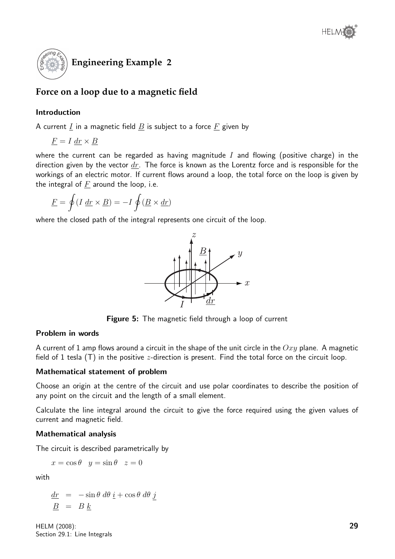

# **Force on a loop due to a magnetic field**

# Introduction

A current  $I$  in a magnetic field  $B$  is subject to a force  $F$  given by

$$
\underline{F} = I \, \underline{dr} \times \underline{B}
$$

where the current can be regarded as having magnitude  $I$  and flowing (positive charge) in the direction given by the vector  $dr$ . The force is known as the Lorentz force and is responsible for the workings of an electric motor. If current flows around a loop, the total force on the loop is given by the integral of  $F$  around the loop, i.e.

$$
\underline{F} = \oint (I \, \underline{dr} \times \underline{B}) = -I \oint (\underline{B} \times \underline{dr})
$$

where the closed path of the integral represents one circuit of the loop.



Figure 5: The magnetic field through a loop of current

## Problem in words

A current of 1 amp flows around a circuit in the shape of the unit circle in the  $Oxy$  plane. A magnetic field of 1 tesla  $(T)$  in the positive *z*-direction is present. Find the total force on the circuit loop.

## Mathematical statement of problem

Choose an origin at the centre of the circuit and use polar coordinates to describe the position of any point on the circuit and the length of a small element.

Calculate the line integral around the circuit to give the force required using the given values of current and magnetic field.

## Mathematical analysis

The circuit is described parametrically by

$$
x = \cos \theta \quad y = \sin \theta \quad z = 0
$$

with

 $\frac{dr}{dt}$  =  $-\sin\theta \, d\theta \, \underline{i} + \cos\theta \, d\theta \, \underline{j}$  $B = B k$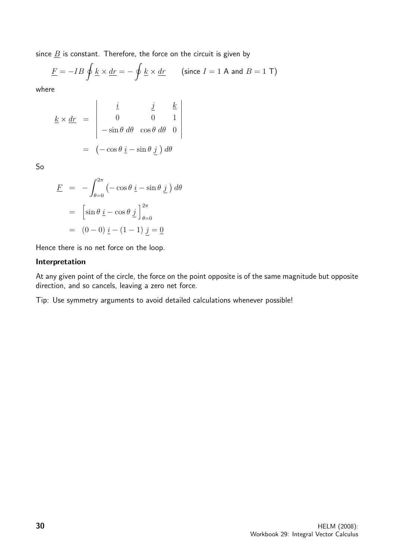since  $\underline{B}$  is constant. Therefore, the force on the circuit is given by

$$
\underline{F} = -IB \oint \underline{k} \times \underline{dr} = -\oint \underline{k} \times \underline{dr} \qquad \text{(since } I = 1 \text{ A and } B = 1 \text{ T)}
$$

where

$$
\underline{k} \times \underline{dr} = \begin{vmatrix} \underline{i} & \underline{j} & \underline{k} \\ 0 & 0 & 1 \\ -\sin \theta & d\theta & \cos \theta & d\theta & 0 \end{vmatrix}
$$

$$
= (-\cos \theta \underline{i} - \sin \theta \underline{j}) d\theta
$$

So

$$
\underline{F} = -\int_{\theta=0}^{2\pi} \left( -\cos\theta \, \underline{i} - \sin\theta \, \underline{j} \right) d\theta
$$

$$
= \left[ \sin\theta \, \underline{i} - \cos\theta \, \underline{j} \right]_{\theta=0}^{2\pi}
$$

$$
= (0-0) \, \underline{i} - (1-1) \, \underline{j} = \underline{0}
$$

Hence there is no net force on the loop.

### Interpretation

At any given point of the circle, the force on the point opposite is of the same magnitude but opposite direction, and so cancels, leaving a zero net force.

Tip: Use symmetry arguments to avoid detailed calculations whenever possible!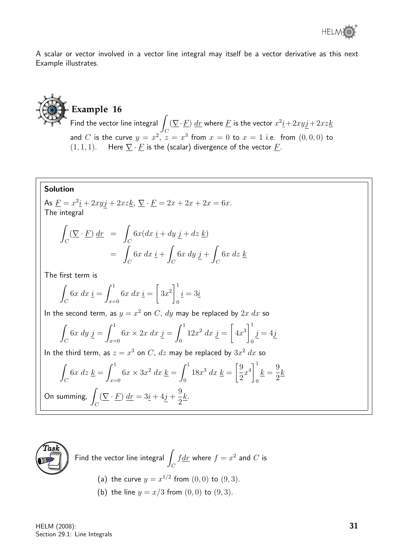A scalar or vector involved in a vector line integral may itself be a vector derivative as this next Example illustrates.

# **Example 16**

 $\overline{\phantom{a}}$  Find the vector line integral  $\overline{\phantom{a}}$ C  $(\nabla \cdot F)$  dr where F is the vector  $x^2 \textit{i} + 2xy \textit{j} + 2xz \textit{k}$ and  $C$  is the curve  $y = x^2$ ,  $z = x^3$  from  $x = 0$  to  $x = 1$  i.e. from  $(0, 0, 0)$  to  $(1, 1, 1)$ . Here  $\nabla \cdot F$  is the (scalar) divergence of the vector F.

# Solution

As  $\underline{F} = x^2 \underline{i} + 2xy \underline{j} + 2xz \underline{k}, \ \nabla \cdot \underline{F} = 2x + 2x + 2x = 6x.$ The integral

$$
\int_C (\nabla \cdot \underline{F}) \, d\underline{r} = \int_C 6x (dx \, \underline{i} + dy \, \underline{j} + dz \, \underline{k})
$$
\n
$$
= \int_C 6x \, dx \, \underline{i} + \int_C 6x \, dy \, \underline{j} + \int_C 6x \, dz \, \underline{k}
$$

The first term is

$$
\int_C 6x \, dx \, \underline{i} = \int_{x=0}^1 6x \, dx \, \underline{i} = \left[ 3x^2 \right]_0^1 \underline{i} = 3\underline{i}
$$

In the second term, as  $y = x^2$  on C,  $dy$  may be replaced by  $2x \, dx$  so

$$
\int_C 6x \, dy \, \underline{j} = \int_{x=0}^1 6x \times 2x \, dx \, \underline{j} = \int_0^1 12x^2 \, dx \, \underline{j} = \left[ 4x^3 \right]_0^1 \underline{j} = 4\underline{j}
$$

In the third term, as  $z = x^3$  on  $C$ ,  $dz$  may be replaced by  $3x^2 dx$  so

$$
\int_C 6x \, dz \, \underline{k} = \int_{x=0}^1 6x \times 3x^2 \, dx \, \underline{k} = \int_0^1 18x^3 \, dx \, \underline{k} = \left[\frac{9}{2}x^4\right]_0^1 \underline{k} = \frac{9}{2}\underline{k}
$$
\nOn summing,

\n
$$
\int_C (\nabla \cdot \underline{F}) \, dx = 3\underline{i} + 4\underline{j} + \frac{9}{2}\underline{k}.
$$



Find the vector line integral 
$$
\int_C f \, dr
$$
 where  $f = x^2$  and C is  
\n(a) the curve  $y = x^{1/2}$  from (0,0) to (9,3).

(b) the line  $y = x/3$  from  $(0, 0)$  to  $(9, 3)$ .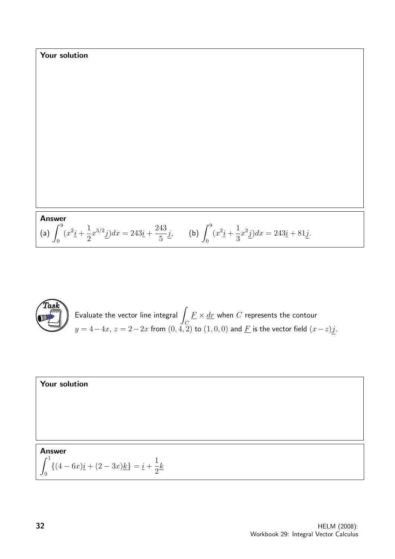Your solution  
\nAnswer  
\n(a) 
$$
\int_0^9 (x^2 \underline{i} + \frac{1}{2} x^{3/2} \underline{j}) dx = 243 \underline{i} + \frac{243}{5} \underline{j}
$$
, (b)  $\int_0^9 (x^2 \underline{i} + \frac{1}{3} x^2 \underline{j}) dx = 243 \underline{i} + 81 \underline{j}$ .



Evaluate the vector line integral  $\overline{I}$  $\mathcal C$  $\underline{F}\times \underline{dr}$  when  $C$  represents the contour  $y=4-4x$ ,  $z=2-2x$  from  $(0,4,\overline{2})$  to  $(1,0,0)$  and  $\underline{F}$  is the vector field  $(x-z)j.$ 

**Your solution**  
  
  
**Answer**  

$$
\int_0^1 \{(4-6x)\underline{i} + (2-3x)\underline{k}\} = \underline{i} + \frac{1}{2}\underline{k}
$$